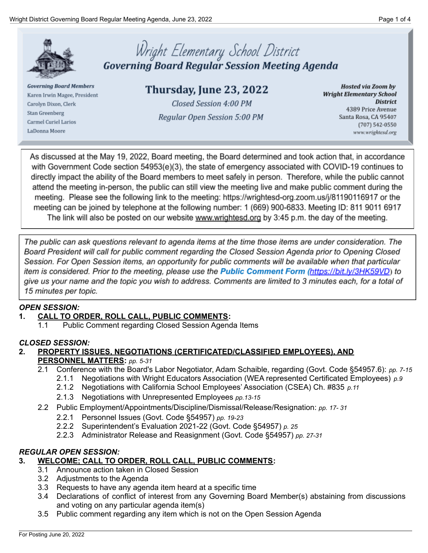

**Governing Board Members** Karen Irwin Magee, President Carolyn Dixon, Clerk Stan Greenberg Carmel Curiel Larios LaDonna Moore

# Wright Elementary School District<br>Governing Board Regular Session Meeting Agenda

Thursday, June 23, 2022 Closed Session 4:00 PM Regular Open Session 5:00 PM

**Hosted via Zoom by Wright Elementary School District** 4389 Price Avenue Santa Rosa, CA 95407 (707) 542-0550 www.wrightesd.org

As discussed at the May 19, 2022, Board meeting, the Board determined and took action that, in accordance with Government Code section 54953(e)(3), the state of emergency associated with COVID-19 continues to directly impact the ability of the Board members to meet safely in person. Therefore, while the public cannot attend the meeting in-person, the public can still view the meeting live and make public comment during the meeting. Please see the following link to the meeting: https://wrightesd-org.zoom.us/j/81190116917 or the meeting can be joined by telephone at the following number: 1 (669) 900-6833. Meeting ID: 811 9011 6917 The link will also be posted on our website www.wrightesd.org by 3:45 p.m. the day of the meeting.

The public can ask questions relevant to agenda items at the time those items are under consideration. The Board President will call for public comment regarding the Closed Session Agenda prior to Opening Closed Session. For Open Session items, an opportunity for public comments will be available when that particular item is considered. Prior to the meeting, please use the **Public Comment Form** (https://bit.ly/3HK59VD) to give us your name and the topic you wish to address. Comments are limited to 3 minutes each, for a total of 15 minutes per topic.

## *OPEN SESSION:*

## **1. CALL TO ORDER, ROLL CALL, PUBLIC COMMENTS:**

1.1 Public Comment regarding Closed Session Agenda Items

## *CLOSED SESSION:*

- **2. PROPERTY ISSUES, NEGOTIATIONS (CERTIFICATED/CLASSIFIED EMPLOYEES), AND PERSONNEL MATTERS:** *pp. 5-31*
	- 2.1 Conference with the Board's Labor Negotiator, Adam Schaible, regarding (Govt. Code §54957.6): *pp. 7-15*
		- 2.1.1 Negotiations with Wright Educators Association (WEA represented Certificated Employees) *p.9*
		- 2.1.2 Negotiations with California School Employees' Association (CSEA) Ch. #835 *p.11*
		- 2.1.3 Negotiations with Unrepresented Employees *pp.13-15*
	- 2.2 Public Employment/Appointments/Discipline/Dismissal/Release/Resignation: *pp. 17- 31*
		- 2.2.1 Personnel Issues (Govt. Code §54957) *pp. 19-23*
		- 2.2.2 Superintendent's Evaluation 2021-22 (Govt. Code §54957) *p. 25*
		- 2.2.3 Administrator Release and Reasignment (Govt. Code §54957) *pp. 27-31*

## *REGULAR OPEN SESSION:*

## **3. WELCOME; CALL TO ORDER, ROLL CALL, PUBLIC COMMENTS:**

- 3.1 Announce action taken in Closed Session
- 3.2 Adjustments to the Agenda
- 3.3 Requests to have any agenda item heard at a specific time
- 3.4 Declarations of conflict of interest from any Governing Board Member(s) abstaining from discussions and voting on any particular agenda item(s)
- 3.5 Public comment regarding any item which is not on the Open Session Agenda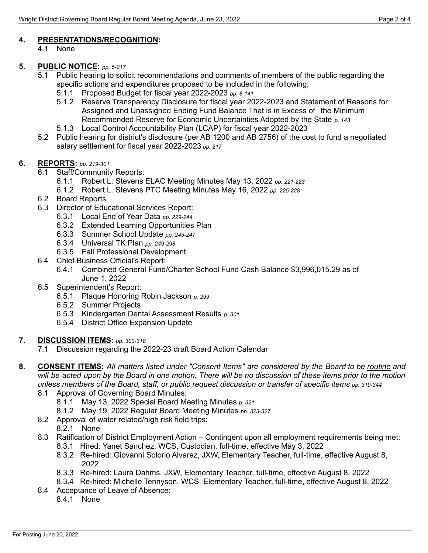## **4. PRESENTATIONS/RECOGNITION:**

4.1 None

## **5. PUBLIC NOTICE:** *pp. 5-217*

- 5.1 Public hearing to solicit recommendations and comments of members of the public regarding the specific actions and expenditures proposed to be included in the following;
	- 5.1.1 Proposed Budget for fiscal year 2022-2023 *pp. 8-141*
	- 5.1.2 Reserve Transparency Disclosure for fiscal year 2022-2023 and Statement of Reasons for Assigned and Unassigned Ending Fund Balance That is in Excess of the Minimum Recommended Reserve for Economic Uncertainties Adopted by the State *p. 143*
	- 5.1.3 Local Control Accountability Plan (LCAP) for fiscal year 2022-2023
- 5.2 Public hearing for district's disclosure (per AB 1200 and AB 2756) of the cost to fund a negotiated salary settlement for fiscal year 2022-2023 *pp. 217*

## **6. REPORTS:** *pp. 219-301*

- 6.1 Staff/Community Reports:
	- 6.1.1 Robert L. Stevens ELAC Meeting Minutes May 13, 2022 *pp. 221-223*
	- 6.1.2 Robert L. Stevens PTC Meeting Minutes May 16, 2022 *pp. 225-228*
- 6.2 Board Reports
- 6.3 Director of Educational Services Report:
	- 6.3.1 Local End of Year Data *pp. 229-244*
	- 6.3.2 Extended Learning Opportunities Plan
	- 6.3.3 Summer School Update *pp. 245-247*
	- 6.3.4 Universal TK Plan *pp. 249-298*
	- 6.3.5 Fall Professional Development
- 6.4 Chief Business Official's Report:
	- 6.4.1 Combined General Fund/Charter School Fund Cash Balance \$3,996,015.29 as of June 1, 2022
- 6.5 Superintendent's Report:
	- 6.5.1 Plaque Honoring Robin Jackson *p. 299*
	- 6.5.2 Summer Projects
	- 6.5.3 Kindergarten Dental Assessment Results *p. 301*
	- 6.5.4 District Office Expansion Update

#### **7. DISCUSSION ITEMS:** *pp. 303-318*

- 7.1 Discussion regarding the 2022-23 draft Board Action Calendar
- 8. CONSENT ITEMS: All matters listed under "Consent Items" are considered by the Board to be routine and will be acted upon by the Board in one motion. There will be no discussion of these items prior to the motion unless members of the Board, staff, or public request discussion or transfer of specific items pp. 319-344
	- 8.1 Approval of Governing Board Minutes:
		- 8.1.1 May 13, 2022 Special Board Meeting Minutes *p. 321*
		- 8.1.2 May 19, 2022 Regular Board Meeting Minutes *pp. 323-327*
	- 8.2 Approval of water related/high risk field trips:
		- 8.2.1 None
	- 8.3 Ratification of District Employment Action Contingent upon all employment requirements being met:
		- 8.3.1 Hired: Yanet Sanchez, WCS, Custodian, full-time, effective May 3, 2022
		- 8.3.2 Re-hired: Giovanni Solorio Alvarez, JXW, Elementary Teacher, full-time, effective August 8, 2022
		- 8.3.3 Re-hired: Laura Dahms, JXW, Elementary Teacher, full-time, effective August 8, 2022
		- 8.3.4 Re-hired: Michelle Tennyson, WCS, Elementary Teacher, full-time, effective August 8, 2022
	- 8.4 Acceptance of Leave of Absence:
		- 8.4.1 None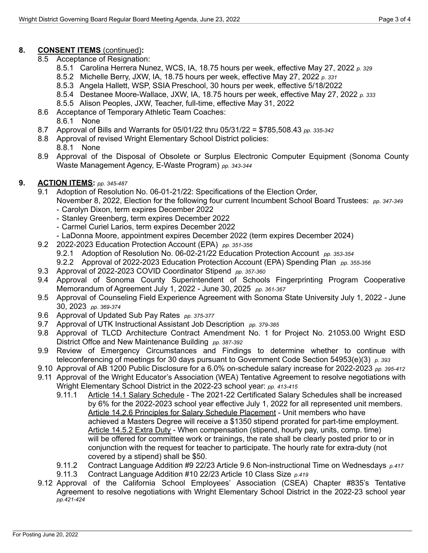# **8. CONSENT ITEMS** (continued)**:**

- 8.5 Acceptance of Resignation:
	- 8.5.1 Carolina Herrera Nunez, WCS, IA, 18.75 hours per week, effective May 27, 2022 *p. 329*
	- 8.5.2 Michelle Berry, JXW, IA, 18.75 hours per week, effective May 27, 2022 *p. 331*
	- 8.5.3 Angela Hallett, WSP, SSIA Preschool, 30 hours per week, effective 5/18/2022
	- 8.5.4 Destanee Moore-Wallace, JXW, IA, 18.75 hours per week, effective May 27, 2022 *p. 333*
	- 8.5.5 Alison Peoples, JXW, Teacher, full-time, effective May 31, 2022
- 8.6 Acceptance of Temporary Athletic Team Coaches:

8.6.1 None

- 8.7 Approval of Bills and Warrants for 05/01/22 thru 05/31/22 = \$785,508.43 *pp. 335-342*
- 8.8 Approval of revised Wright Elementary School District policies:
	- 8.8.1 None
- 8.9 Approval of the Disposal of Obsolete or Surplus Electronic Computer Equipment (Sonoma County Waste Management Agency, E-Waste Program) *pp. 343-344*

## **9. ACTION ITEMS:** *pp. 345-487*

- 9.1 Adoption of Resolution No. 06-01-21/22: Specifications of the Election Order,
	- November 8, 2022, Election for the following four current Incumbent School Board Trustees: *pp. 347-349* - Carolyn Dixon, term expires December 2022
		- Stanley Greenberg, term expires December 2022
		- Carmel Curiel Larios, term expires December 2022
		- LaDonna Moore, appointment expires December 2022 (term expires December 2024)
- 9.2 2022-2023 Education Protection Account (EPA) *pp. 351-356*
	- 9.2.1 Adoption of Resolution No. 06-02-21/22 Education Protection Account *pp. 353-354*
	- 9.2.2 Approval of 2022-2023 Education Protection Account (EPA) Spending Plan *pp. 355-356*
- 9.3 Approval of 2022-2023 COVID Coordinator Stipend *pp. 357-360*
- 9.4 Approval of Sonoma County Superintendent of Schools Fingerprinting Program Cooperative Memorandum of Agreement July 1, 2022 - June 30, 2025 *pp. 361-367*
- 9.5 Approval of Counseling Field Experience Agreement with Sonoma State University July 1, 2022 June 30, 2023 *pp. 369-374*
- 9.6 Approval of Updated Sub Pay Rates *pp. 375-377*
- 9.7 Approval of UTK Instructional Assistant Job Description *pp. 379-385*
- 9.8 Approval of TLCD Architecture Contract Amendment No. 1 for Project No. 21053.00 Wright ESD District Offce and New Maintenance Building *pp. 387-392*
- 9.9 Review of Emergency Circumstances and Findings to determine whether to continue with teleconferencing of meetings for 30 days pursuant to Government Code Section 54953(e)(3) *p. 393*
- 9.10 Approval of AB 1200 Public Disclosure for a 6.0% on-schedule salary increase for 2022-2023 *pp. 395-412*
- 9.11 Approval of the Wright Educator's Association (WEA) Tentative Agreement to resolve negotiations with Wright Elementary School District in the 2022-23 school year: *pp. 413-415*
	- 9.11.1 Article 14.1 Salary Schedule The 2021-22 Certificated Salary Schedules shall be increased by 6% for the 2022-2023 school year effective July 1, 2022 for all represented unit members. Article 14.2.6 Principles for Salary Schedule Placement - Unit members who have achieved a Masters Degree will receive a \$1350 stipend prorated for part-time employment. Article 14.5.2 Extra Duty - When compensation (stipend, hourly pay, units, comp. time) will be offered for committee work or trainings, the rate shall be clearly posted prior to or in conjunction with the request for teacher to participate. The hourly rate for extra-duty (not covered by a stipend) shall be \$50.
	- 9.11.2 Contract Language Addition #9 22/23 Article 9.6 Non-instructional Time on Wednesdays *p.417*
	- 9.11.3 Contract Language Addition #10 22/23 Article 10 Class Size *p.419*
- 9.12 Approval of the California School Employees' Association (CSEA) Chapter #835's Tentative Agreement to resolve negotiations with Wright Elementary School District in the 2022-23 school year *pp.421-424*